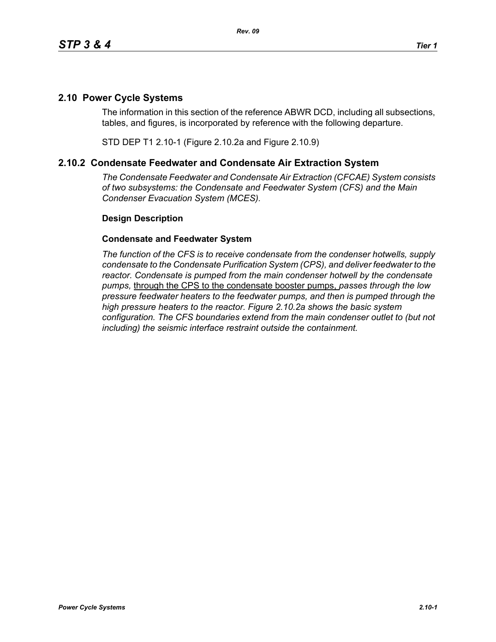## **2.10 Power Cycle Systems**

The information in this section of the reference ABWR DCD, including all subsections, tables, and figures, is incorporated by reference with the following departure.

STD DEP T1 2.10-1 (Figure 2.10.2a and Figure 2.10.9)

## **2.10.2 Condensate Feedwater and Condensate Air Extraction System**

*The Condensate Feedwater and Condensate Air Extraction (CFCAE) System consists of two subsystems: the Condensate and Feedwater System (CFS) and the Main Condenser Evacuation System (MCES).*

## **Design Description**

## **Condensate and Feedwater System**

*The function of the CFS is to receive condensate from the condenser hotwells, supply condensate to the Condensate Purification System (CPS), and deliver feedwater to the reactor. Condensate is pumped from the main condenser hotwell by the condensate pumps,* through the CPS to the condensate booster pumps, *passes through the low pressure feedwater heaters to the feedwater pumps, and then is pumped through the high pressure heaters to the reactor. Figure 2.10.2a shows the basic system configuration. The CFS boundaries extend from the main condenser outlet to (but not including) the seismic interface restraint outside the containment.*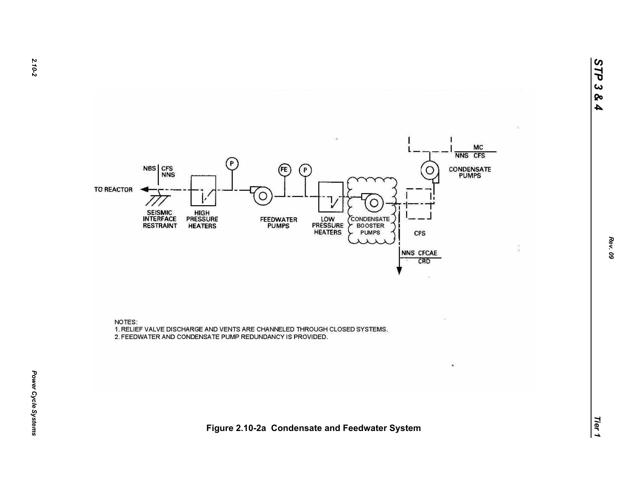

NOTES: 1. RELIEF VALVE DISCHARGE AND VENTS ARE CHANNELED THROUGH CLOSED SYSTEMS. 2. FEEDWATER AND CONDENSATE PUMP REDUNDANCY IS PROVIDED.